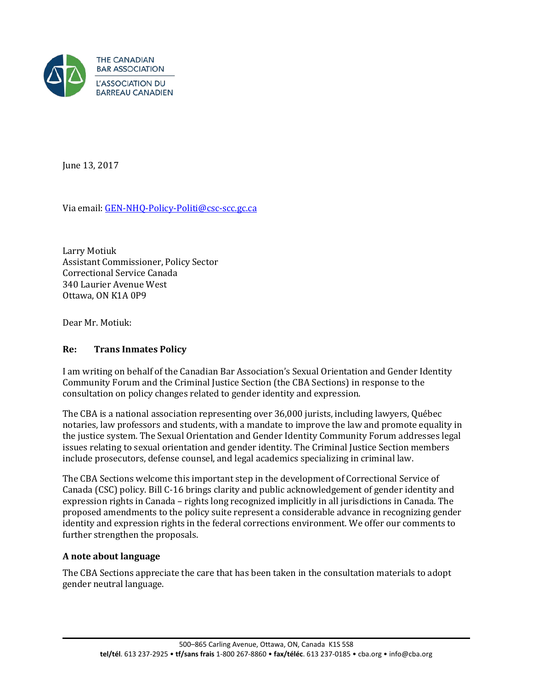

June 13, 2017

Via email[: GEN-NHQ-Policy-Politi@csc-scc.gc.ca](mailto:GEN-NHQ-Policy-Politi@csc-scc.gc.ca) 

Larry Motiuk Assistant Commissioner, Policy Sector Correctional Service Canada 340 Laurier Avenue West Ottawa, ON K1A 0P9

Dear Mr. Motiuk:

### **Re: Trans Inmates Policy**

I am writing on behalf of the Canadian Bar Association's Sexual Orientation and Gender Identity Community Forum and the Criminal Justice Section (the CBA Sections) in response to the consultation on policy changes related to gender identity and expression.

The CBA is a national association representing over 36,000 jurists, including lawyers, Québec notaries, law professors and students, with a mandate to improve the law and promote equality in the justice system. The Sexual Orientation and Gender Identity Community Forum addresses legal issues relating to sexual orientation and gender identity. The Criminal Justice Section members include prosecutors, defense counsel, and legal academics specializing in criminal law.

The CBA Sections welcome this important step in the development of Correctional Service of Canada (CSC) policy. Bill C-16 brings clarity and public acknowledgement of gender identity and expression rights in Canada – rights long recognized implicitly in all jurisdictions in Canada. The proposed amendments to the policy suite represent a considerable advance in recognizing gender identity and expression rights in the federal corrections environment. We offer our comments to further strengthen the proposals.

### **A note about language**

The CBA Sections appreciate the care that has been taken in the consultation materials to adopt gender neutral language.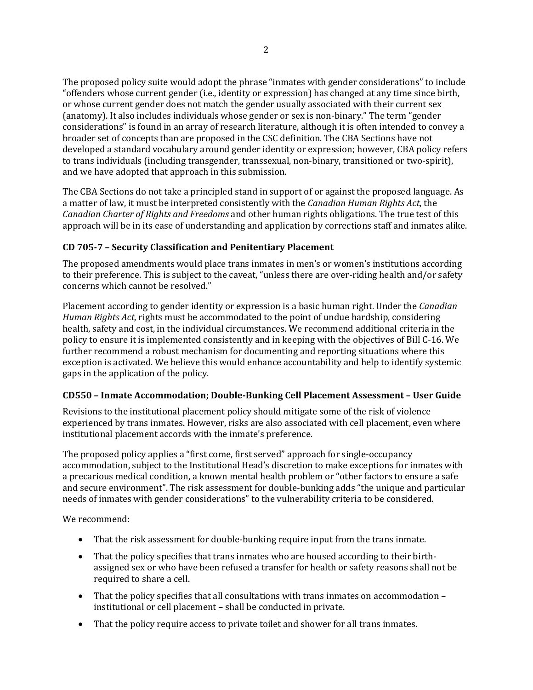The proposed policy suite would adopt the phrase "inmates with gender considerations" to include "offenders whose current gender (i.e., identity or expression) has changed at any time since birth, or whose current gender does not match the gender usually associated with their current sex (anatomy). It also includes individuals whose gender or sex is non-binary." The term "gender considerations" is found in an array of research literature, although it is often intended to convey a broader set of concepts than are proposed in the CSC definition. The CBA Sections have not developed a standard vocabulary around gender identity or expression; however, CBA policy refers to trans individuals (including transgender, transsexual, non-binary, transitioned or two-spirit), and we have adopted that approach in this submission.

The CBA Sections do not take a principled stand in support of or against the proposed language. As a matter of law, it must be interpreted consistently with the *Canadian Human Rights Act*, the *Canadian Charter of Rights and Freedoms* and other human rights obligations. The true test of this approach will be in its ease of understanding and application by corrections staff and inmates alike.

### **CD 705-7 – Security Classification and Penitentiary Placement**

The proposed amendments would place trans inmates in men's or women's institutions according to their preference. This is subject to the caveat, "unless there are over-riding health and/or safety concerns which cannot be resolved."

Placement according to gender identity or expression is a basic human right. Under the *Canadian Human Rights Act*, rights must be accommodated to the point of undue hardship, considering health, safety and cost, in the individual circumstances. We recommend additional criteria in the policy to ensure it is implemented consistently and in keeping with the objectives of Bill C-16. We further recommend a robust mechanism for documenting and reporting situations where this exception is activated. We believe this would enhance accountability and help to identify systemic gaps in the application of the policy.

### **CD550 – Inmate Accommodation; Double-Bunking Cell Placement Assessment – User Guide**

Revisions to the institutional placement policy should mitigate some of the risk of violence experienced by trans inmates. However, risks are also associated with cell placement, even where institutional placement accords with the inmate's preference.

The proposed policy applies a "first come, first served" approach for single-occupancy accommodation, subject to the Institutional Head's discretion to make exceptions for inmates with a precarious medical condition, a known mental health problem or "other factors to ensure a safe and secure environment". The risk assessment for double-bunking adds "the unique and particular needs of inmates with gender considerations" to the vulnerability criteria to be considered.

We recommend:

- That the risk assessment for double-bunking require input from the trans inmate.
- That the policy specifies that trans inmates who are housed according to their birthassigned sex or who have been refused a transfer for health or safety reasons shall not be required to share a cell.
- That the policy specifies that all consultations with trans inmates on accommodation institutional or cell placement – shall be conducted in private.
- That the policy require access to private toilet and shower for all trans inmates.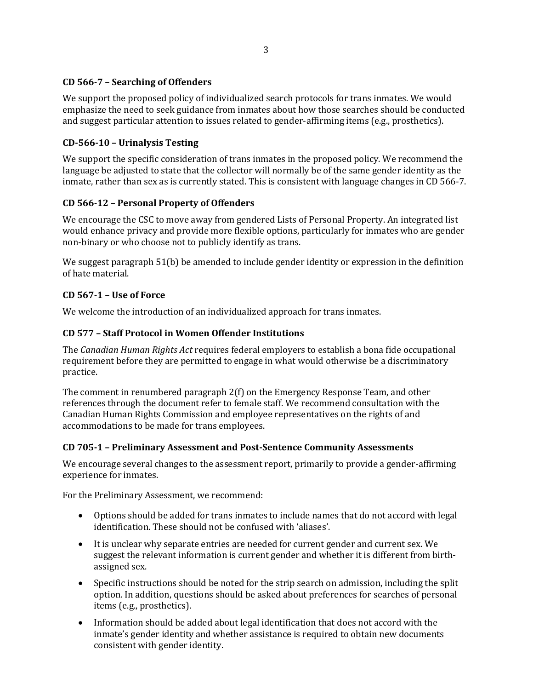### **CD 566-7 – Searching of Offenders**

We support the proposed policy of individualized search protocols for trans inmates. We would emphasize the need to seek guidance from inmates about how those searches should be conducted and suggest particular attention to issues related to gender-affirming items (e.g., prosthetics).

### **CD-566-10 – Urinalysis Testing**

We support the specific consideration of trans inmates in the proposed policy. We recommend the language be adjusted to state that the collector will normally be of the same gender identity as the inmate, rather than sex as is currently stated. This is consistent with language changes in CD 566-7.

# **CD 566-12 – Personal Property of Offenders**

We encourage the CSC to move away from gendered Lists of Personal Property. An integrated list would enhance privacy and provide more flexible options, particularly for inmates who are gender non-binary or who choose not to publicly identify as trans.

We suggest paragraph 51(b) be amended to include gender identity or expression in the definition of hate material.

# **CD 567-1 – Use of Force**

We welcome the introduction of an individualized approach for trans inmates.

# **CD 577 – Staff Protocol in Women Offender Institutions**

The *Canadian Human Rights Act* requires federal employers to establish a bona fide occupational requirement before they are permitted to engage in what would otherwise be a discriminatory practice.

The comment in renumbered paragraph 2(f) on the Emergency Response Team, and other references through the document refer to female staff. We recommend consultation with the Canadian Human Rights Commission and employee representatives on the rights of and accommodations to be made for trans employees.

### **CD 705-1 – Preliminary Assessment and Post-Sentence Community Assessments**

We encourage several changes to the assessment report, primarily to provide a gender-affirming experience for inmates.

For the Preliminary Assessment, we recommend:

- Options should be added for trans inmates to include names that do not accord with legal identification. These should not be confused with 'aliases'.
- It is unclear why separate entries are needed for current gender and current sex. We suggest the relevant information is current gender and whether it is different from birthassigned sex.
- Specific instructions should be noted for the strip search on admission, including the split option. In addition, questions should be asked about preferences for searches of personal items (e.g., prosthetics).
- Information should be added about legal identification that does not accord with the inmate's gender identity and whether assistance is required to obtain new documents consistent with gender identity.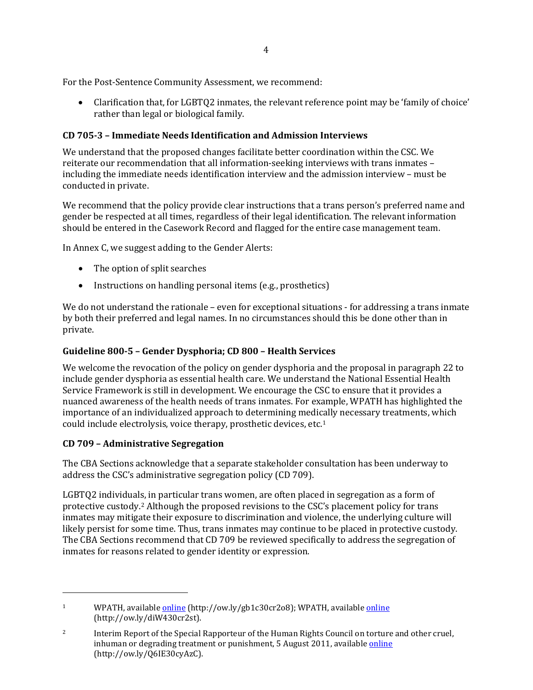For the Post-Sentence Community Assessment, we recommend:

• Clarification that, for LGBTQ2 inmates, the relevant reference point may be 'family of choice' rather than legal or biological family.

# **CD 705-3 – Immediate Needs Identification and Admission Interviews**

We understand that the proposed changes facilitate better coordination within the CSC. We reiterate our recommendation that all information-seeking interviews with trans inmates – including the immediate needs identification interview and the admission interview – must be conducted in private.

We recommend that the policy provide clear instructions that a trans person's preferred name and gender be respected at all times, regardless of their legal identification. The relevant information should be entered in the Casework Record and flagged for the entire case management team.

In Annex C, we suggest adding to the Gender Alerts:

- The option of split searches
- Instructions on handling personal items (e.g., prosthetics)

We do not understand the rationale – even for exceptional situations - for addressing a trans inmate by both their preferred and legal names. In no circumstances should this be done other than in private.

# **Guideline 800-5 – Gender Dysphoria; CD 800 – Health Services**

We welcome the revocation of the policy on gender dysphoria and the proposal in paragraph 22 to include gender dysphoria as essential health care. We understand the National Essential Health Service Framework is still in development. We encourage the CSC to ensure that it provides a nuanced awareness of the health needs of trans inmates. For example, WPATH has highlighted the importance of an individualized approach to determining medi[ca](#page-3-0)lly necessary treatments, which could include electrolysis, voice therapy, prosthetic devices, etc.1

# **CD 709 – Administrative Segregation**

j

The CBA Sections acknowledge that a separate stakeholder consultation has been underway to address the CSC's administrative segregation policy (CD 709).

LGBTQ2 individuals, in particular trans women, are often placed in segregation as a form of protective custody.[2](#page-3-1) Although the proposed revisions to the CSC's placement policy for trans inmates may mitigate their exposure to discrimination and violence, the underlying culture will likely persist for some time. Thus, trans inmates may continue to be placed in protective custody. The CBA Sections recommend that CD 709 be reviewed specifically to address the segregation of inmates for reasons related to gender identity or expression.

<span id="page-3-0"></span><sup>&</sup>lt;sup>1</sup> WPATH, available *[online](https://s3.amazonaws.com/amo_hub_content/Association140/files/WPATH-Position-on-Medical-Necessity-12-21-2016.pdf)* (http://ow.ly/gb1c30cr2o8); WPATH, available *online* (http://ow.ly/diW430cr2st).

<span id="page-3-1"></span><sup>&</sup>lt;sup>2</sup> Interim Report of the Special Rapporteur of the Human Rights Council on torture and other cruel, inhuman or degrading treatment or punishment, 5 August 2011, available [online](http://ow.ly/Q6IE30cyAzC) (http://ow.ly/Q6IE30cyAzC).